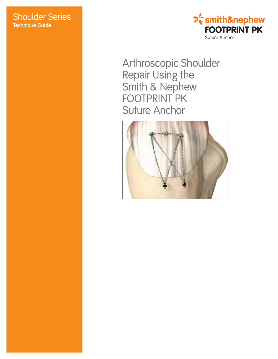# **Shoulder Series Technique Guide**



Arthroscopic Shoulder Repair Using the<br>Smith & Nephew<br>FOOTPRINT PK **Suture Anchor** 

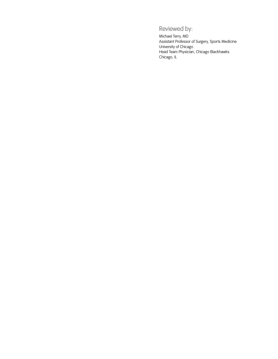# Reviewed by:

Michael Terry, MD Assistant Professor of Surgery, Sports Medicine University of Chicago Head Team Physician, Chicago Blackhawks Chicago, IL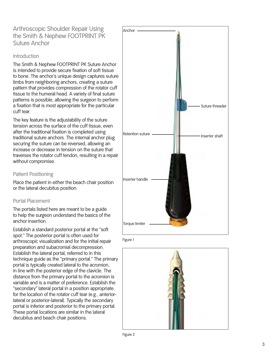Arthroscopic Shoulder Repair Using the Smith & Nephew FOOTPRINT PK Suture Anchor

#### Introduction

The Smith & Nephew FOOTPRINT PK Suture Anchor is intended to provide secure fixation of soft tissue to bone. The anchor's unique design captures suture limbs from neighboring anchors, creating a suture pattern that provides compression of the rotator cuff tissue to the humeral head. A variety of final suture patterns is possible, allowing the surgeon to perform a fixation that is most appropriate for the particular cuff tear.

The key feature is the adjustability of the suture tension across the surface of the cuff tissue, even after the traditional fixation is completed using traditional suture anchors. The internal anchor plug securing the suture can be reversed, allowing an increase or decrease in tension on the suture that traverses the rotator cuff tendon, resulting in a repair without compromise.

### Patient Positioning

Place the patient in either the beach chair position or the lateral decubitus position.

### Portal Placement

The portals listed here are meant to be a guide to help the surgeon understand the basics of the anchor insertion.

Establish a standard posterior portal at the "soft spot." The posterior portal is often used for arthroscopic visualization and for the initial repair preparation and subacromial decompression. Establish the lateral portal; referred to in this technique guide as the "primary portal." The primary portal is typically created lateral to the acromion, in line with the posterior edge of the clavicle. The distance from the primary portal to the acromion is variable and is a matter of preference. Establish the "secondary" lateral portal in a position appropriate for the location of the rotator cuff tear (e.g., anteriorlateral or posterior-lateral). Typically the secondary portal is inferior and posterior to the primary portal. These portal locations are similar in the lateral decubitus and beach chair positions.





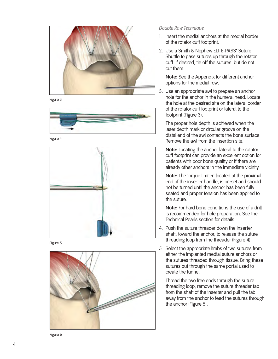



![](_page_3_Picture_2.jpeg)

Figure 4

![](_page_3_Picture_4.jpeg)

![](_page_3_Figure_5.jpeg)

![](_page_3_Picture_6.jpeg)

*Double Row Technique*

- 1. Insert the medial anchors at the medial border of the rotator cuff footprint.
- 2. Use a Smith & Nephew ELITE-PASS\* Suture Shuttle to pass sutures up through the rotator cuff. If desired, tie off the sutures, but do not cut them.

**Note:** See the Appendix for different anchor options for the medial row.

3 . Use an appropriate awl to prepare an anchor hole for the anchor in the humeral head. Locate the hole at the desired site on the lateral border of the rotator cuff footprint or lateral to the footprint (Figure 3).

The proper hole depth is achieved when the laser depth mark or circular groove on the distal end of the awl contacts the bone surface. Remove the awl from the insertion site.

**Note:** Locating the anchor lateral to the rotator cuff footprint can provide an excellent option for patients with poor bone quality or if there are already other anchors in the immediate vicinity.

**Note:** The torque limiter, located at the proximal end of the inserter handle, is preset and should not be turned until the anchor has been fully seated and proper tension has been applied to the suture.

**Note:** For hard bone conditions the use of a drill is recommended for hole preparation. See the Technical Pearls section for details.

- 4 . Push the suture threader down the inserter shaft, toward the anchor, to release the suture threading loop from the threader (Figure 4).
- 5. Select the appropriate limbs of two sutures from either the implanted medial suture anchors or the sutures threaded through tissue. Bring these sutures out through the same portal used to create the tunnel.

Thread the two free ends through the suture threading loop, remove the suture threader tab from the shaft of the inserter and pull the tab away from the anchor to feed the sutures through the anchor (Figure 5).

Figure 6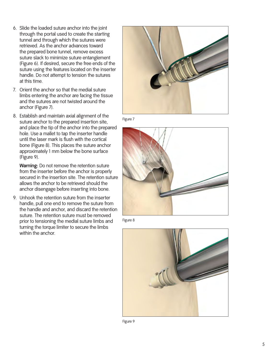- 6. Slide the loaded suture anchor into the joint through the portal used to create the starting tunnel and through which the sutures were retrieved. As the anchor advances toward the prepared bone tunnel, remove excess suture slack to minimize suture entanglement (Figure 6). If desired, secure the free ends of the suture using the features located on the inserter handle. Do not attempt to tension the sutures at this time.
- 7. Orient the anchor so that the medial suture limbs entering the anchor are facing the tissue and the sutures are not twisted around the anchor (Figure 7).
- 8. Establish and maintain axial alignment of the suture anchor to the prepared insertion site, and place the tip of the anchor into the prepared hole. Use a mallet to tap the inserter handle until the laser mark is flush with the cortical bone (Figure 8). This places the suture anchor approximately 1 mm below the bone surface (Figure 9).

**Warning:** Do not remove the retention suture from the inserter before the anchor is properly secured in the insertion site. The retention suture allows the anchor to be retrieved should the anchor disengage before inserting into bone.

9. Unhook the retention suture from the inserter handle, pull one end to remove the suture from the handle and anchor, and discard the retention suture. The retention suture must be removed prior to tensioning the medial suture limbs and turning the torque limiter to secure the limbs within the anchor.

![](_page_4_Picture_5.jpeg)

![](_page_4_Figure_6.jpeg)

![](_page_4_Picture_7.jpeg)

Figure 8

![](_page_4_Picture_9.jpeg)

Figure 9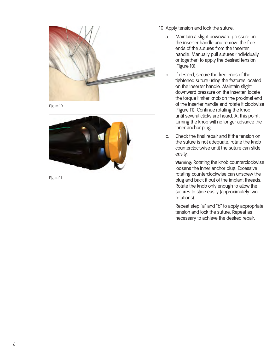![](_page_5_Picture_0.jpeg)

Figure 10

![](_page_5_Picture_2.jpeg)

Figure 11

10. Apply tension and lock the suture.

- a. Maintain a slight downward pressure on the inserter handle and remove the free ends of the sutures from the inserter handle. Manually pull sutures (individually or together) to apply the desired tension (Figure 10).
- b. If desired, secure the free ends of the tightened suture using the features located on the inserter handle. Maintain slight downward pressure on the inserter, locate the torque limiter knob on the proximal end of the inserter handle and rotate it clockwise (Figure 11). Continue rotating the knob until several clicks are heard. At this point, turning the knob will no longer advance the inner anchor plug.
- c. Check the final repair and if the tension on the suture is not adequate, rotate the knob counterclockwise until the suture can slide easily.

 **Warning:** Rotating the knob counterclockwise loosens the inner anchor plug. Excessive rotating counterclockwise can unscrew the plug and back it out of the implant threads. Rotate the knob only enough to allow the sutures to slide easily (approximately two rotations).

 Repeat step "a" and "b" to apply appropriate tension and lock the suture. Repeat as necessary to achieve the desired repair.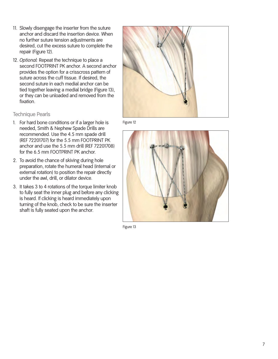- 11. Slowly disengage the inserter from the suture anchor and discard the insertion device. When no further suture tension adjustments are desired, cut the excess suture to complete the repair (Figure 12).
- 12. *Optional:* Repeat the technique to place a second FOOTPRINT PK anchor. A second anchor provides the option for a crisscross pattern of suture across the cuff tissue. If desired, the second suture in each medial anchor can be tied together leaving a medial bridge (Figure 13), or they can be unloaded and removed from the fixation.

### Technique Pearls

- 1. For hard bone conditions or if a larger hole is needed, Smith & Nephew Spade Drills are recommended. Use the 4.5 mm spade drill (REF 72201707) for the 5.5 mm FOOTPRINT PK anchor and use the 5.5 mm drill (REF 72201708) for the 6.5 mm FOOTPRINT PK anchor.
- 2. To avoid the chance of skiving during hole preparation, rotate the humeral head (internal or external rotation) to position the repair directly under the awl, drill, or dilator device.
- 3. It takes 3 to 4 rotations of the torque limiter knob to fully seat the inner plug and before any clicking is heard. If clicking is heard immediately upon turning of the knob, check to be sure the inserter shaft is fully seated upon the anchor.

![](_page_6_Picture_6.jpeg)

Figure 12

![](_page_6_Picture_8.jpeg)

Figure 13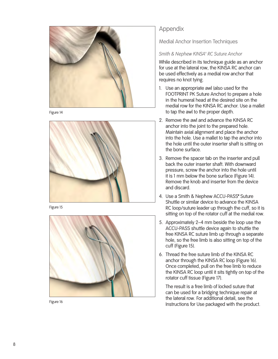![](_page_7_Picture_0.jpeg)

![](_page_7_Figure_1.jpeg)

![](_page_7_Picture_2.jpeg)

Figure 15

![](_page_7_Picture_4.jpeg)

Figure 16

# Appendix

Medial Anchor Insertion Techniques

### *Smith & Nephew KINSA™ RC Suture Anchor*

While described in its technique guide as an anchor for use at the lateral row, the KINSA RC anchor can be used effectively as a medial row anchor that requires no knot tying.

- 1. Use an appropriate awl (also used for the FOOTPRINT PK Suture Anchor) to prepare a hole in the humeral head at the desired site on the medial row for the KINSA RC anchor. Use a mallet to tap the awl to the proper depth.
- 2. Remove the awl and advance the KINSA RC anchor into the joint to the prepared hole. Maintain axial alignment and place the anchor into the hole. Use a mallet to tap the anchor into the hole until the outer inserter shaft is sitting on the bone surface.
- 3 . Remove the spacer tab on the inserter and pull back the outer inserter shaft. With downward pressure, screw the anchor into the hole until it is 1 mm below the bone surface (Figure 1 4). Remove the knob and inserter from the device and discard.
- 4 . Use a Smith & Nephew ACCU-PASS™ Suture Shuttle or similar device to advance the KINSA RC loop/suture leader up through the cuff, so it is sitting on top of the rotator cuff at the medial row.
- 5. Approximately 2– 4 mm beside the loop use the ACCU-PASS shuttle device again to shuttle the free KINSA RC suture limb up through a separate hole, so the free limb is also sitting on top of the cuff (Figure 15).
- 6. Thread the free suture limb of the KINSA RC anchor through the KINSA RC loop (Figure 16). Once completed, pull on the free limb to reduce the KINSA RC loop until it sits tightly on top of the rotator cuff tissue (Figure 17).

The result is a free limb of locked suture that can be used for a bridging technique repair at the lateral row. For additional detail, see the Instructions for Use packaged with the product.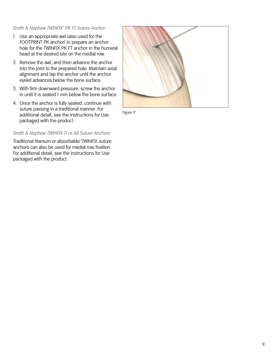## *Smith & Nephew TWINFIX™ PK FT Suture Anchor*

- 1. Use an appropriate awl (also used for the FOOTPRINT PK anchor) to prepare an anchor hole for the TWINFIX PK FT anchor in the humeral head at the desired site on the medial row.
- 2. Remove the awl, and then advance the anchor into the joint to the prepared hole. Maintain axial alignment and tap the anchor until the anchor eyelet advances below the bone surface.
- 3. With firm downward pressure, screw the anchor in until it is seated 1 mm below the bone surface.
- 4. Once the anchor is fully seated, continue with suture passing in a traditional manner. For additional detail, see the Instructions for Use packaged with the product.

## *Smith & Nephew TWINFIX Ti or AB Suture Anchors*

Traditional titanium or absorbable TWINFIX suture anchors can also be used for medial row fixation. For additional detail, see the Instructions for Use packaged with the product.

![](_page_8_Picture_7.jpeg)

Figure 17